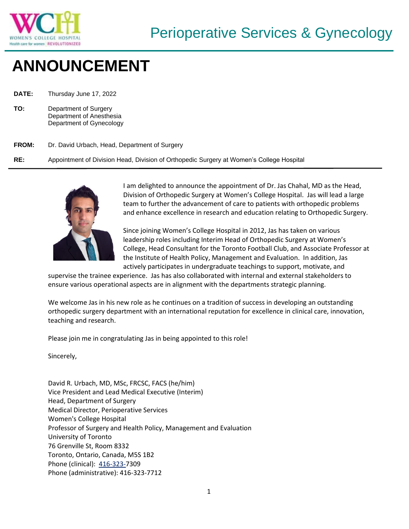

## **ANNOUNCEMENT**

**DATE:** Thursday June 17, 2022

**TO:** Department of Surgery Department of Anesthesia Department of Gynecology

## **FROM:** Dr. David Urbach, Head, Department of Surgery

**RE:** Appointment of Division Head, Division of Orthopedic Surgery at Women's College Hospital



I am delighted to announce the appointment of Dr. Jas Chahal, MD as the Head, Division of Orthopedic Surgery at Women's College Hospital. Jas will lead a large team to further the advancement of care to patients with orthopedic problems and enhance excellence in research and education relating to Orthopedic Surgery.

Since joining Women's College Hospital in 2012, Jas has taken on various leadership roles including Interim Head of Orthopedic Surgery at Women's College, Head Consultant for the Toronto Football Club, and Associate Professor at the Institute of Health Policy, Management and Evaluation. In addition, Jas actively participates in undergraduate teachings to support, motivate, and

supervise the trainee experience. Jas has also collaborated with internal and external stakeholders to ensure various operational aspects are in alignment with the departments strategic planning.

We welcome Jas in his new role as he continues on a tradition of success in developing an outstanding orthopedic surgery department with an international reputation for excellence in clinical care, innovation, teaching and research.

Please join me in congratulating Jas in being appointed to this role!

Sincerely,

David R. Urbach, MD, MSc, FRCSC, FACS (he/him) Vice President and Lead Medical Executive (Interim) Head, Department of Surgery Medical Director, Perioperative Services Women's College Hospital Professor of Surgery and Health Policy, Management and Evaluation University of Toronto 76 Grenville St, Room 8332 Toronto, Ontario, Canada, M5S 1B2 Phone (clinical): [416-323-7](tel:416-323-6471)309 Phone (administrative): 416-323-7712